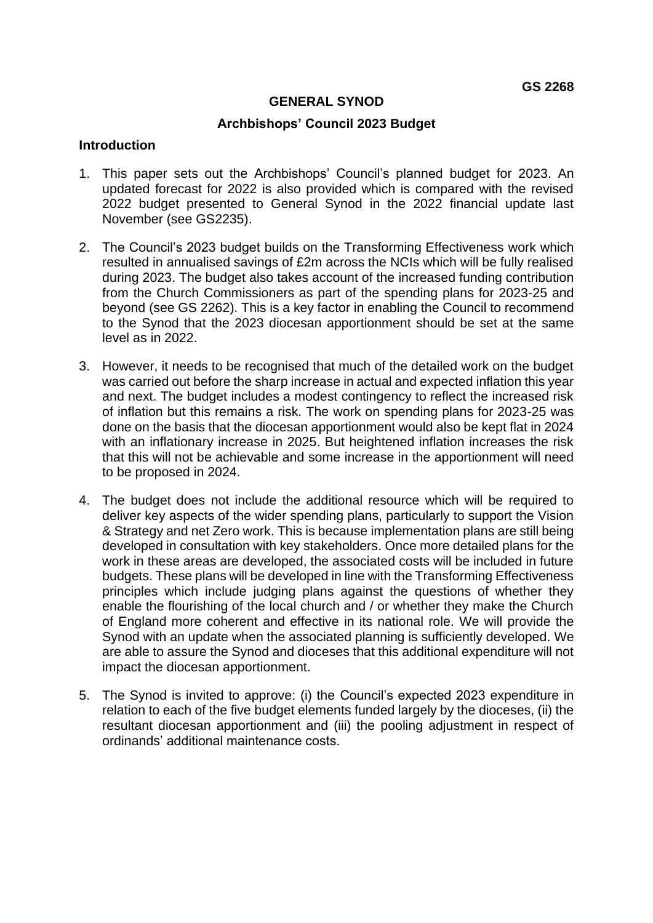### **GENERAL SYNOD**

### **Archbishops' Council 2023 Budget**

#### **Introduction**

- 1. This paper sets out the Archbishops' Council's planned budget for 2023. An updated forecast for 2022 is also provided which is compared with the revised 2022 budget presented to General Synod in the 2022 financial update last November (see GS2235).
- 2. The Council's 2023 budget builds on the Transforming Effectiveness work which resulted in annualised savings of £2m across the NCIs which will be fully realised during 2023. The budget also takes account of the increased funding contribution from the Church Commissioners as part of the spending plans for 2023-25 and beyond (see GS 2262). This is a key factor in enabling the Council to recommend to the Synod that the 2023 diocesan apportionment should be set at the same level as in 2022.
- 3. However, it needs to be recognised that much of the detailed work on the budget was carried out before the sharp increase in actual and expected inflation this year and next. The budget includes a modest contingency to reflect the increased risk of inflation but this remains a risk. The work on spending plans for 2023-25 was done on the basis that the diocesan apportionment would also be kept flat in 2024 with an inflationary increase in 2025. But heightened inflation increases the risk that this will not be achievable and some increase in the apportionment will need to be proposed in 2024.
- 4. The budget does not include the additional resource which will be required to deliver key aspects of the wider spending plans, particularly to support the Vision & Strategy and net Zero work. This is because implementation plans are still being developed in consultation with key stakeholders. Once more detailed plans for the work in these areas are developed, the associated costs will be included in future budgets. These plans will be developed in line with the Transforming Effectiveness principles which include judging plans against the questions of whether they enable the flourishing of the local church and / or whether they make the Church of England more coherent and effective in its national role. We will provide the Synod with an update when the associated planning is sufficiently developed. We are able to assure the Synod and dioceses that this additional expenditure will not impact the diocesan apportionment.
- 5. The Synod is invited to approve: (i) the Council's expected 2023 expenditure in relation to each of the five budget elements funded largely by the dioceses, (ii) the resultant diocesan apportionment and (iii) the pooling adjustment in respect of ordinands' additional maintenance costs.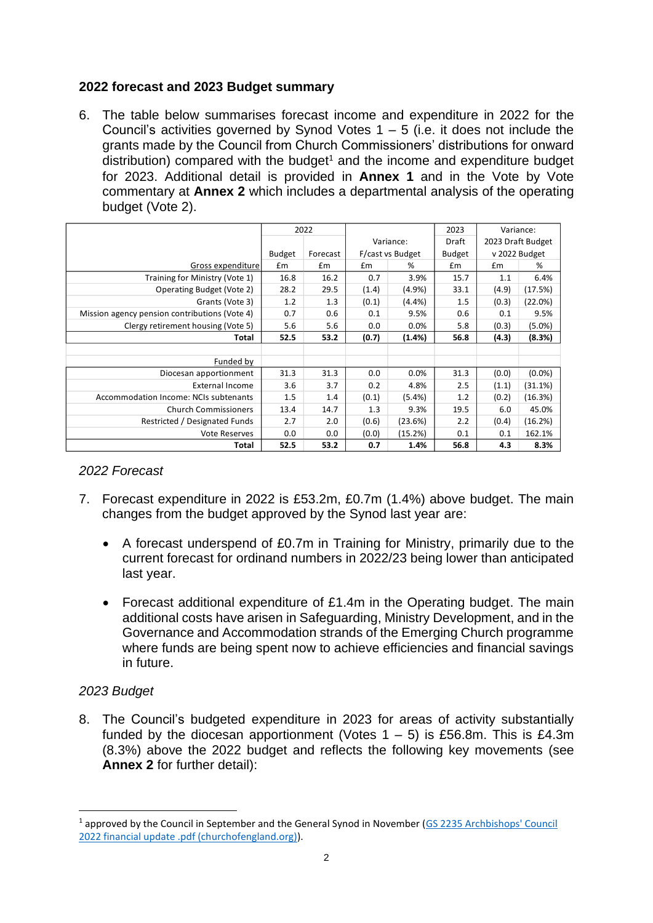# **2022 forecast and 2023 Budget summary**

6. The table below summarises forecast income and expenditure in 2022 for the Council's activities governed by Synod Votes  $1 - 5$  (i.e. it does not include the grants made by the Council from Church Commissioners' distributions for onward distribution) compared with the budget<sup>1</sup> and the income and expenditure budget for 2023. Additional detail is provided in **Annex 1** and in the Vote by Vote commentary at **Annex 2** which includes a departmental analysis of the operating budget (Vote 2).

|                                               | 2022          |          |                  |           | 2023          | Variance:     |                   |  |
|-----------------------------------------------|---------------|----------|------------------|-----------|---------------|---------------|-------------------|--|
|                                               |               |          |                  | Variance: | Draft         |               | 2023 Draft Budget |  |
|                                               | <b>Budget</b> | Forecast | F/cast vs Budget |           | <b>Budget</b> | v 2022 Budget |                   |  |
| Gross expenditure                             | £m            | £m       | £m               | %         | £m            | £m            | %                 |  |
| Training for Ministry (Vote 1)                | 16.8          | 16.2     | 0.7              | 3.9%      | 15.7          | 1.1           | 6.4%              |  |
| Operating Budget (Vote 2)                     | 28.2          | 29.5     | (1.4)            | $(4.9\%)$ | 33.1          | (4.9)         | (17.5%)           |  |
| Grants (Vote 3)                               | 1.2           | 1.3      | (0.1)            | $(4.4\%)$ | 1.5           | (0.3)         | (22.0%)           |  |
| Mission agency pension contributions (Vote 4) | 0.7           | 0.6      | 0.1              | 9.5%      | 0.6           | 0.1           | 9.5%              |  |
| Clergy retirement housing (Vote 5)            | 5.6           | 5.6      | 0.0              | $0.0\%$   | 5.8           | (0.3)         | $(5.0\%)$         |  |
| <b>Total</b>                                  | 52.5          | 53.2     | (0.7)            | (1.4%)    | 56.8          | (4.3)         | (8.3%)            |  |
|                                               |               |          |                  |           |               |               |                   |  |
| Funded by                                     |               |          |                  |           |               |               |                   |  |
| Diocesan apportionment                        | 31.3          | 31.3     | 0.0              | 0.0%      | 31.3          | (0.0)         | $(0.0\%)$         |  |
| <b>External Income</b>                        | 3.6           | 3.7      | 0.2              | 4.8%      | 2.5           | (1.1)         | (31.1%)           |  |
| Accommodation Income: NCIs subtenants         | 1.5           | 1.4      | (0.1)            | $(5.4\%)$ | 1.2           | (0.2)         | (16.3%)           |  |
| <b>Church Commissioners</b>                   | 13.4          | 14.7     | 1.3              | 9.3%      | 19.5          | 6.0           | 45.0%             |  |
| Restricted / Designated Funds                 | 2.7           | 2.0      | (0.6)            | (23.6%)   | 2.2           | (0.4)         | (16.2%)           |  |
| <b>Vote Reserves</b>                          | 0.0           | 0.0      | (0.0)            | (15.2%)   | 0.1           | 0.1           | 162.1%            |  |
| Total                                         | 52.5          | 53.2     | 0.7              | 1.4%      | 56.8          | 4.3           | 8.3%              |  |

## *2022 Forecast*

- 7. Forecast expenditure in 2022 is £53.2m, £0.7m (1.4%) above budget. The main changes from the budget approved by the Synod last year are:
	- A forecast underspend of £0.7m in Training for Ministry, primarily due to the current forecast for ordinand numbers in 2022/23 being lower than anticipated last year.
	- Forecast additional expenditure of £1.4m in the Operating budget. The main additional costs have arisen in Safeguarding, Ministry Development, and in the Governance and Accommodation strands of the Emerging Church programme where funds are being spent now to achieve efficiencies and financial savings in future.

## *2023 Budget*

8. The Council's budgeted expenditure in 2023 for areas of activity substantially funded by the diocesan apportionment (Votes  $1 - 5$ ) is £56.8m. This is £4.3m (8.3%) above the 2022 budget and reflects the following key movements (see **Annex 2** for further detail):

<sup>1</sup> approved by the Council in September and the General Synod in November [\(GS 2235 Archbishops' Council](https://www.churchofengland.org/sites/default/files/2021-10/GS%202235%20Archbishops%27%20Council%202022%20financial%20update%20.pdf)  [2022 financial update .pdf \(churchofengland.org\)\)](https://www.churchofengland.org/sites/default/files/2021-10/GS%202235%20Archbishops%27%20Council%202022%20financial%20update%20.pdf).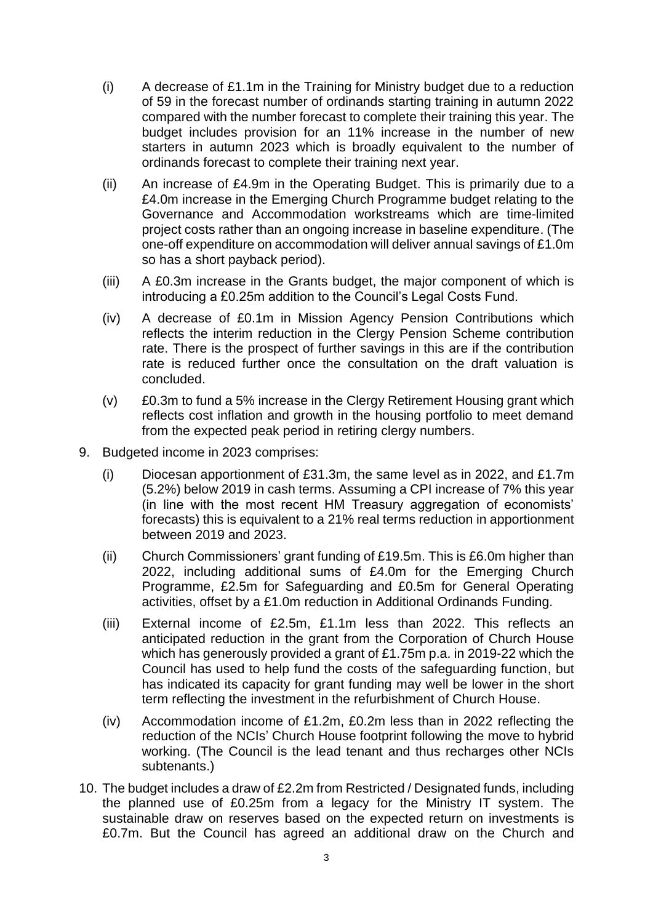- (i) A decrease of £1.1m in the Training for Ministry budget due to a reduction of 59 in the forecast number of ordinands starting training in autumn 2022 compared with the number forecast to complete their training this year. The budget includes provision for an 11% increase in the number of new starters in autumn 2023 which is broadly equivalent to the number of ordinands forecast to complete their training next year.
- (ii) An increase of £4.9m in the Operating Budget. This is primarily due to a £4.0m increase in the Emerging Church Programme budget relating to the Governance and Accommodation workstreams which are time-limited project costs rather than an ongoing increase in baseline expenditure. (The one-off expenditure on accommodation will deliver annual savings of £1.0m so has a short payback period).
- (iii) A £0.3m increase in the Grants budget, the major component of which is introducing a £0.25m addition to the Council's Legal Costs Fund.
- (iv) A decrease of £0.1m in Mission Agency Pension Contributions which reflects the interim reduction in the Clergy Pension Scheme contribution rate. There is the prospect of further savings in this are if the contribution rate is reduced further once the consultation on the draft valuation is concluded.
- (v) £0.3m to fund a 5% increase in the Clergy Retirement Housing grant which reflects cost inflation and growth in the housing portfolio to meet demand from the expected peak period in retiring clergy numbers.
- 9. Budgeted income in 2023 comprises:
	- (i) Diocesan apportionment of £31.3m, the same level as in 2022, and £1.7m (5.2%) below 2019 in cash terms. Assuming a CPI increase of 7% this year (in line with the most recent HM Treasury aggregation of economists' forecasts) this is equivalent to a 21% real terms reduction in apportionment between 2019 and 2023.
	- (ii) Church Commissioners' grant funding of £19.5m. This is £6.0m higher than 2022, including additional sums of £4.0m for the Emerging Church Programme, £2.5m for Safeguarding and £0.5m for General Operating activities, offset by a £1.0m reduction in Additional Ordinands Funding.
	- (iii) External income of £2.5m, £1.1m less than 2022. This reflects an anticipated reduction in the grant from the Corporation of Church House which has generously provided a grant of £1.75m p.a. in 2019-22 which the Council has used to help fund the costs of the safeguarding function, but has indicated its capacity for grant funding may well be lower in the short term reflecting the investment in the refurbishment of Church House.
	- (iv) Accommodation income of £1.2m, £0.2m less than in 2022 reflecting the reduction of the NCIs' Church House footprint following the move to hybrid working. (The Council is the lead tenant and thus recharges other NCIs subtenants.)
- 10. The budget includes a draw of £2.2m from Restricted / Designated funds, including the planned use of £0.25m from a legacy for the Ministry IT system. The sustainable draw on reserves based on the expected return on investments is £0.7m. But the Council has agreed an additional draw on the Church and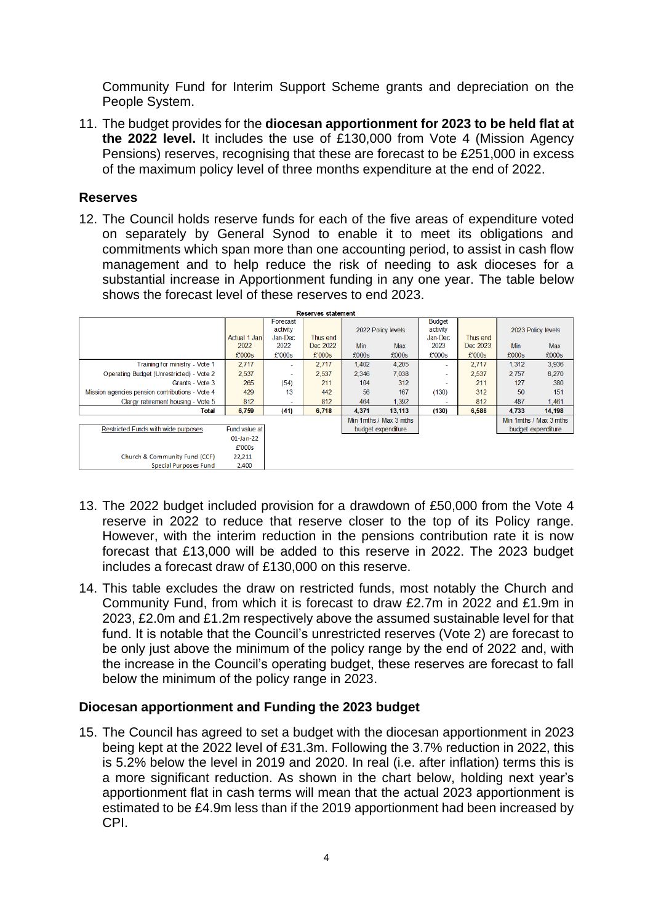Community Fund for Interim Support Scheme grants and depreciation on the People System.

11. The budget provides for the **diocesan apportionment for 2023 to be held flat at the 2022 level.** It includes the use of £130,000 from Vote 4 (Mission Agency Pensions) reserves, recognising that these are forecast to be £251,000 in excess of the maximum policy level of three months expenditure at the end of 2022.

## **Reserves**

12. The Council holds reserve funds for each of the five areas of expenditure voted on separately by General Synod to enable it to meet its obligations and commitments which span more than one accounting period, to assist in cash flow management and to help reduce the risk of needing to ask dioceses for a substantial increase in Apportionment funding in any one year. The table below shows the forecast level of these reserves to end 2023.

| <b>Reserves statement</b>                       |               |                          |          |                    |                        |                |          |       |                        |
|-------------------------------------------------|---------------|--------------------------|----------|--------------------|------------------------|----------------|----------|-------|------------------------|
|                                                 |               | Forecast                 |          |                    |                        | <b>Budget</b>  |          |       |                        |
|                                                 |               | activity                 |          | 2022 Policy levels |                        | activity       |          |       | 2023 Policy levels     |
|                                                 | Actual 1 Jan  | Jan-Dec                  | Thus end |                    |                        | Jan-Dec        | Thus end |       |                        |
|                                                 | 2022          | 2022                     | Dec 2022 | <b>Min</b>         | Max                    | 2023           | Dec 2023 | Min   | <b>Max</b>             |
|                                                 | £'000s        | £'000s                   | £'000s   | £000s              | £000s                  | £'000s         | £'000s   | £000s | £000s                  |
| Training for ministry - Vote 1                  | 2.717         | $\sim$                   | 2.717    | 1,402              | 4,205                  | $\overline{a}$ | 2,717    | 1,312 | 3,936                  |
| Operating Budget (Unrestricted) - Vote 2        | 2,537         | $\overline{\phantom{a}}$ | 2,537    | 2.346              | 7.038                  | ٠              | 2,537    | 2.757 | 8,270                  |
| Grants - Vote 3                                 | 265           | (54)                     | 211      | 104                | 312                    |                | 211      | 127   | 380                    |
| Mission agencies pension contributions - Vote 4 | 429           | 13                       | 442      | 56                 | 167                    | (130)          | 312      | 50    | 151                    |
| Clergy retirement housing - Vote 5              | 812           | ۰                        | 812      | 464                | 1,392                  | ٠.             | 812      | 487   | 1,461                  |
| Total                                           | 6,759         | (41)                     | 6,718    | 4.371              | 13.113                 | (130)          | 6,588    | 4,733 | 14,198                 |
|                                                 |               |                          |          |                    | Min 1mths / Max 3 mths |                |          |       | Min 1mths / Max 3 mths |
| Restricted Funds with wide purposes             | Fund value at |                          |          |                    | budget expenditure     |                |          |       | budget expenditure     |
|                                                 | $01$ -Jan-22  |                          |          |                    |                        |                |          |       |                        |
|                                                 | £'000s        |                          |          |                    |                        |                |          |       |                        |
| Church & Community Fund (CCF)                   | 22,211        |                          |          |                    |                        |                |          |       |                        |
| <b>Special Purposes Fund</b>                    | 2,400         |                          |          |                    |                        |                |          |       |                        |

- 13. The 2022 budget included provision for a drawdown of £50,000 from the Vote 4 reserve in 2022 to reduce that reserve closer to the top of its Policy range. However, with the interim reduction in the pensions contribution rate it is now forecast that £13,000 will be added to this reserve in 2022. The 2023 budget includes a forecast draw of £130,000 on this reserve.
- 14. This table excludes the draw on restricted funds, most notably the Church and Community Fund, from which it is forecast to draw £2.7m in 2022 and £1.9m in 2023, £2.0m and £1.2m respectively above the assumed sustainable level for that fund. It is notable that the Council's unrestricted reserves (Vote 2) are forecast to be only just above the minimum of the policy range by the end of 2022 and, with the increase in the Council's operating budget, these reserves are forecast to fall below the minimum of the policy range in 2023.

## **Diocesan apportionment and Funding the 2023 budget**

15. The Council has agreed to set a budget with the diocesan apportionment in 2023 being kept at the 2022 level of £31.3m. Following the 3.7% reduction in 2022, this is 5.2% below the level in 2019 and 2020. In real (i.e. after inflation) terms this is a more significant reduction. As shown in the chart below, holding next year's apportionment flat in cash terms will mean that the actual 2023 apportionment is estimated to be £4.9m less than if the 2019 apportionment had been increased by CPI.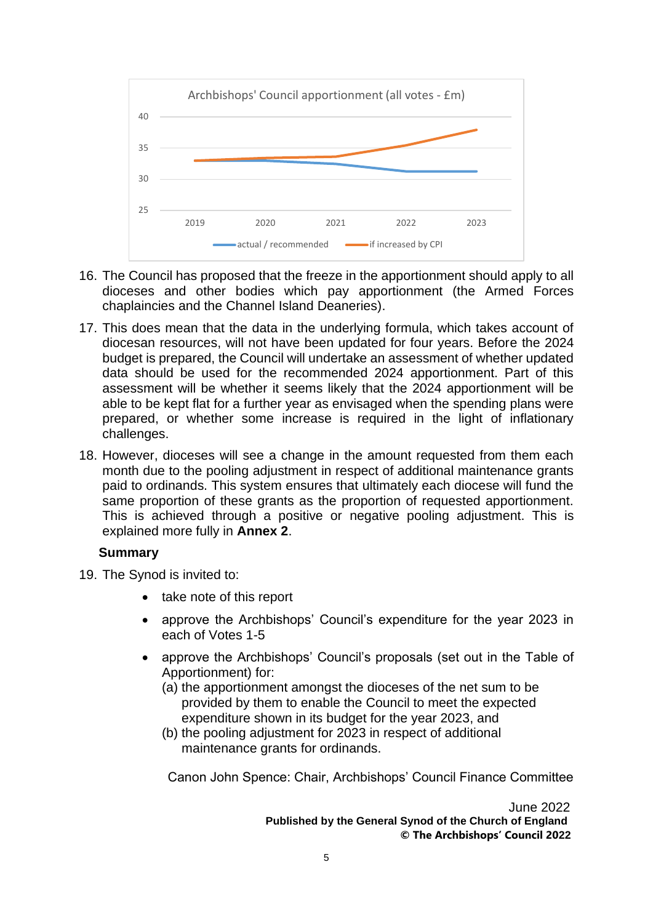

- 16. The Council has proposed that the freeze in the apportionment should apply to all dioceses and other bodies which pay apportionment (the Armed Forces chaplaincies and the Channel Island Deaneries).
- 17. This does mean that the data in the underlying formula, which takes account of diocesan resources, will not have been updated for four years. Before the 2024 budget is prepared, the Council will undertake an assessment of whether updated data should be used for the recommended 2024 apportionment. Part of this assessment will be whether it seems likely that the 2024 apportionment will be able to be kept flat for a further year as envisaged when the spending plans were prepared, or whether some increase is required in the light of inflationary challenges.
- 18. However, dioceses will see a change in the amount requested from them each month due to the pooling adjustment in respect of additional maintenance grants paid to ordinands. This system ensures that ultimately each diocese will fund the same proportion of these grants as the proportion of requested apportionment. This is achieved through a positive or negative pooling adjustment. This is explained more fully in **Annex 2**.

## **Summary**

- 19. The Synod is invited to:
	- take note of this report
	- approve the Archbishops' Council's expenditure for the year 2023 in each of Votes 1-5
	- approve the Archbishops' Council's proposals (set out in the Table of Apportionment) for:
		- (a) the apportionment amongst the dioceses of the net sum to be provided by them to enable the Council to meet the expected expenditure shown in its budget for the year 2023, and
		- (b) the pooling adjustment for 2023 in respect of additional maintenance grants for ordinands.

Canon John Spence: Chair, Archbishops' Council Finance Committee

June 2022 **Published by the General Synod of the Church of England © The Archbishops' Council 2022**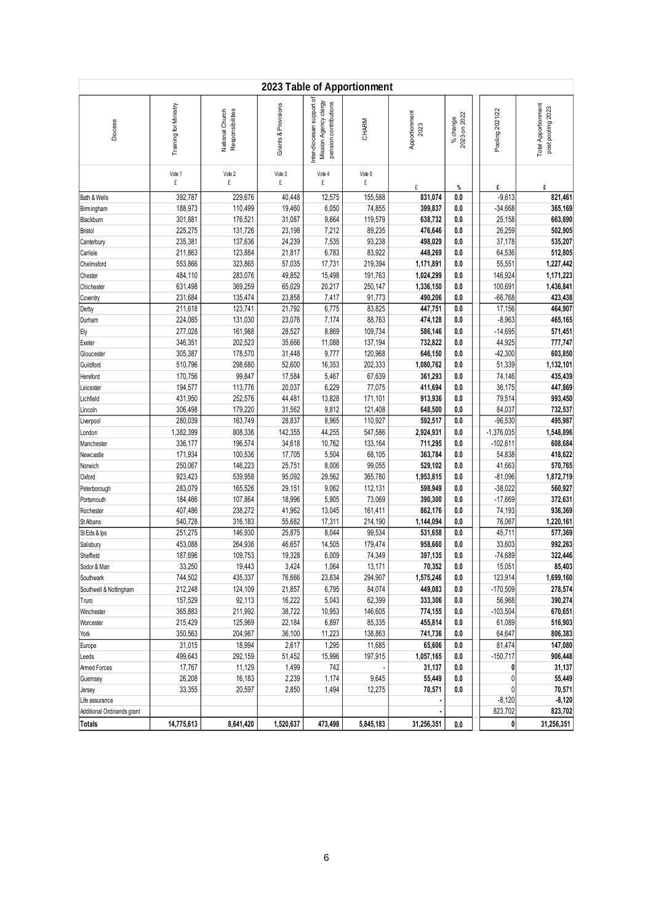|                            | 2023 Table of Apportionment |                                     |                     |                                                                             |                    |                        |                          |                      |                                                 |  |
|----------------------------|-----------------------------|-------------------------------------|---------------------|-----------------------------------------------------------------------------|--------------------|------------------------|--------------------------|----------------------|-------------------------------------------------|--|
| Diocese                    | Training for Ministry       | National Church<br>Responsibilities | Grants & Provisions | Inter-diocesan support of<br>Mission Agency clergy<br>pension contributions | CHARM              | Apportionment<br>2023  | 2023 on 2022<br>% change | Pooling 2021/22      | <b>Total Apportionment</b><br>post pooling 2023 |  |
|                            | Vote 1<br>£                 | Vote 2<br>£                         | Vote 3<br>£         | Vote 4<br>£                                                                 | Vote 5<br>£        | £                      |                          | £                    | £                                               |  |
| Bath & Wells               | 392,787                     | 229,676                             | 40,448              | 12,575                                                                      | 155,588            | 831,074                | $\%$<br>0.0              | $-9,613$             | 821,461                                         |  |
| Birmingham                 | 188,973                     | 110,499                             | 19,460              | 6,050                                                                       | 74,855             | 399,837                | 0.0                      | $-34,668$            | 365,169                                         |  |
| Blackburn                  | 301,881                     | 176,521                             | 31,087              | 9,664                                                                       | 119,579            | 638,732                | 0.0                      | 25,158               | 663,890                                         |  |
| <b>Bristol</b>             | 225,275                     | 131,726                             | 23,198              | 7,212                                                                       | 89,235             | 476,646                | 0.0                      | 26,259               | 502,905                                         |  |
| Canterbury                 | 235,381                     | 137,636                             | 24,239              | 7,535                                                                       | 93,238             | 498,029                | 0.0                      | 37,178               | 535,207                                         |  |
| Carlisle                   | 211,863                     | 123,884                             | 21,817              | 6,783                                                                       | 83,922             | 448,269                | 0.0                      | 64,536               | 512,805                                         |  |
| Chelmsford                 | 553,866                     | 323,865                             | 57,035              | 17,731                                                                      | 219,394            | 1,171,891              | 0.0                      | 55,551               | 1,227,442                                       |  |
| Chester                    | 484,110<br>631,498          | 283,076<br>369,259                  | 49,852<br>65,029    | 15,498<br>20,217                                                            | 191,763<br>250,147 | 1,024,299<br>1,336,150 | 0.0<br>0.0               | 146,924<br>100,691   | 1,171,223<br>1,436,841                          |  |
| Chichester<br>Coventry     | 231,684                     | 135,474                             | 23,858              | 7,417                                                                       | 91,773             | 490,206                | 0.0                      | $-66,768$            | 423,438                                         |  |
| Derby                      | 211,618                     | 123,741                             | 21,792              | 6,775                                                                       | 83,825             | 447,751                | 0.0                      | 17,156               | 464,907                                         |  |
| Durham                     | 224,085                     | 131,030                             | 23,076              | 7,174                                                                       | 88,763             | 474,128                | 0.0                      | $-8,963$             | 465,165                                         |  |
| Ely                        | 277,028                     | 161,988                             | 28,527              | 8,869                                                                       | 109,734            | 586,146                | 0.0                      | $-14,695$            | 571,451                                         |  |
| Exeter                     | 346,351                     | 202,523                             | 35,666              | 11,088                                                                      | 137,194            | 732,822                | 0.0                      | 44,925               | 777,747                                         |  |
| Gloucester                 | 305,387                     | 178,570                             | 31,448              | 9,777                                                                       | 120,968            | 646,150                | 0.0                      | $-42,300$            | 603,850                                         |  |
| Guildford                  | 510,796                     | 298,680                             | 52,600              | 16,353                                                                      | 202,333            | 1,080,762              | 0.0                      | 51,339               | 1,132,101                                       |  |
| Hereford                   | 170,756                     | 99,847                              | 17,584              | 5,467                                                                       | 67,639             | 361,293                | 0.0                      | 74,146               | 435,439                                         |  |
| Leicester                  | 194,577                     | 113,776                             | 20,037              | 6,229                                                                       | 77,075             | 411,694                | 0.0                      | 36,175               | 447,869                                         |  |
| Lichfield                  | 431,950<br>306,498          | 252,576<br>179,220                  | 44,481<br>31,562    | 13,828<br>9,812                                                             | 171,101<br>121,408 | 913,936<br>648,500     | 0.0                      | 79,514               | 993,450<br>732,537                              |  |
| Lincoln<br>Liverpool       | 280,039                     | 163,749                             | 28,837              | 8,965                                                                       | 110,927            | 592,517                | 0.0<br>0.0               | 84,037<br>$-96,530$  | 495,987                                         |  |
| London                     | 1,382,399                   | 808,336                             | 142,355             | 44,255                                                                      | 547,586            | 2,924,931              | 0.0                      | $-1,376,035$         | 1,548,896                                       |  |
| Manchester                 | 336,177                     | 196,574                             | 34,618              | 10,762                                                                      | 133,164            | 711,295                | 0.0                      | $-102,611$           | 608,684                                         |  |
| Newcastle                  | 171,934                     | 100,536                             | 17,705              | 5,504                                                                       | 68,105             | 363,784                | 0.0                      | 54,838               | 418,622                                         |  |
| Norwich                    | 250,067                     | 146,223                             | 25,751              | 8,006                                                                       | 99,055             | 529,102                | 0.0                      | 41,663               | 570,765                                         |  |
| Oxford                     | 923,423                     | 539,958                             | 95,092              | 29,562                                                                      | 365,780            | 1,953,815              | 0.0                      | $-81,096$            | 1,872,719                                       |  |
| Peterborough               | 283,079                     | 165,526                             | 29,151              | 9,062                                                                       | 112,131            | 598,949                | 0.0                      | $-38,022$            | 560,927                                         |  |
| Portsmouth                 | 184,466                     | 107,864                             | 18,996              | 5,905                                                                       | 73,069             | 390,300                | 0.0                      | $-17,669$            | 372,631                                         |  |
| Rochester                  | 407,486                     | 238,272                             | 41,962              | 13,045                                                                      | 161,411            | 862,176                | 0.0                      | 74,193               | 936,369                                         |  |
| St Albans                  | 540,728<br>251,275          | 316,183                             | 55,682              | 17,311<br>8,044                                                             | 214,190<br>99,534  | 1,144,094              | 0.0<br>0.0               | 76,067               | 1,220,161<br>577,369                            |  |
| St Eds & Ips<br>Salisbury  | 453,088                     | 146,930<br>264,936                  | 25,875<br>46,657    | 14,505                                                                      | 179,474            | 531,658<br>958,660     | 0.0                      | 45,711<br>33,603     | 992,263                                         |  |
| Sheffield                  | 187,696                     | 109,753                             | 19,328              | 6,009                                                                       | 74,349             | 397,135                | 0.0                      | $-74,689$            | 322,446                                         |  |
| Sodor & Man                | 33,250                      | 19,443                              | 3,424               | 1,064                                                                       | 13,171             | 70,352                 | 0.0                      | 15,051               | 85,403                                          |  |
| Southwark                  | 744,502                     | 435,337                             | 76,666              | 23,834                                                                      | 294,907            | 1,575,246              | 0.0                      | 123,914              | 1,699,160                                       |  |
| Southwell & Nottingham     | 212,248                     | 124,109                             | 21,857              | 6,795                                                                       | 84,074             | 449,083                | 0.0                      | $-170,509$           | 278,574                                         |  |
| Truro                      | 157,529                     | 92,113                              | 16,222              | 5,043                                                                       | 62,399             | 333,306                | 0.0                      | 56,968               | 390,274                                         |  |
| Winchester                 | 365,883                     | 211,992                             | 38,722              | 10,953                                                                      | 146,605            | 774,155                | 0.0                      | $-103,504$           | 670,651                                         |  |
| Worcester                  | 215,429                     | 125,969                             | 22,184              | 6,897                                                                       | 85,335             | 455,814                | 0.0                      | 61,089               | 516,903                                         |  |
| York                       | 350,563                     | 204,987                             | 36,100              | 11,223                                                                      | 138,863            | 741,736                | 0.0                      | 64,647               | 806,383                                         |  |
| Europe                     | 31,015<br>499,643           | 18,994<br>292,159                   | 2,617<br>51,452     | 1,295<br>15,996                                                             | 11,685<br>197,915  | 65,606<br>1,057,165    | 0.0<br>0.0               | 81,474<br>$-150,717$ | 147,080<br>906,448                              |  |
| Leeds<br>Armed Forces      | 17,767                      | 11,129                              | 1,499               | 742                                                                         |                    | 31,137                 | 0.0                      | 0                    | 31,137                                          |  |
| Guernsey                   | 26,208                      | 16,183                              | 2,239               | 1,174                                                                       | 9,645              | 55,449                 | 0.0                      | 0                    | 55,449                                          |  |
| Jersey                     | 33,355                      | 20,597                              | 2,850               | 1,494                                                                       | 12,275             | 70,571                 | 0.0                      | 0                    | 70,571                                          |  |
| Life assurance             |                             |                                     |                     |                                                                             |                    |                        |                          | $-8,120$             | $-8,120$                                        |  |
| Additional Ordinands grant |                             |                                     |                     |                                                                             |                    |                        |                          | 823,702              | 823,702                                         |  |
|                            | 14,775,613                  | 8,641,420                           | 1,520,637           | 473,498                                                                     | 5,845,183          | 31,256,351             | 0.0                      | 0                    | 31,256,351                                      |  |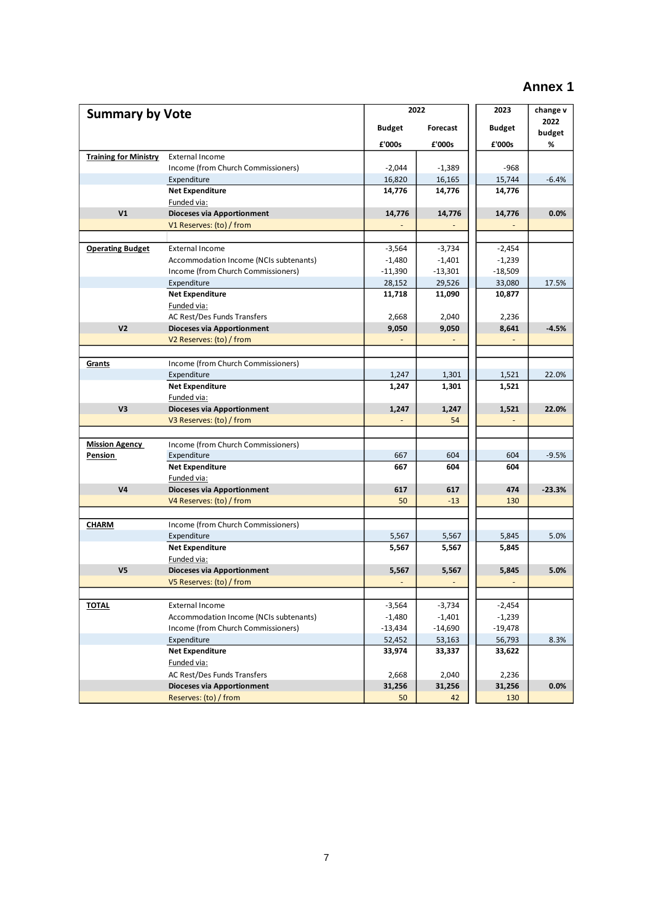# **Annex 1**

|                              |                                        | 2022          | 2023      | change v       |          |
|------------------------------|----------------------------------------|---------------|-----------|----------------|----------|
| <b>Summary by Vote</b>       |                                        |               |           |                | 2022     |
|                              |                                        | <b>Budget</b> | Forecast  | <b>Budget</b>  | budget   |
|                              |                                        | £'000s        | £'000s    | £'000s         | %        |
| <b>Training for Ministry</b> | <b>External Income</b>                 |               |           |                |          |
|                              | Income (from Church Commissioners)     | $-2,044$      | $-1,389$  | $-968$         |          |
|                              | Expenditure                            | 16,820        | 16,165    | 15,744         | $-6.4%$  |
|                              | <b>Net Expenditure</b>                 | 14,776        | 14,776    | 14,776         |          |
|                              | Funded via:                            |               |           |                |          |
| V <sub>1</sub>               | <b>Dioceses via Apportionment</b>      | 14,776        | 14,776    | 14,776         | 0.0%     |
|                              | V1 Reserves: (to) / from               |               |           |                |          |
|                              |                                        |               |           |                |          |
| <b>Operating Budget</b>      | <b>External Income</b>                 | $-3,564$      | $-3,734$  | $-2,454$       |          |
|                              | Accommodation Income (NCIs subtenants) | $-1,480$      | $-1,401$  | $-1,239$       |          |
|                              | Income (from Church Commissioners)     | $-11,390$     | $-13,301$ | $-18,509$      |          |
|                              | Expenditure                            | 28,152        | 29,526    | 33,080         | 17.5%    |
|                              | <b>Net Expenditure</b>                 | 11,718        | 11,090    | 10,877         |          |
|                              | Funded via:                            |               |           |                |          |
|                              | AC Rest/Des Funds Transfers            | 2,668         | 2,040     | 2,236          |          |
| V <sub>2</sub>               | Dioceses via Apportionment             | 9,050         | 9,050     | 8,641          | $-4.5%$  |
|                              | V2 Reserves: (to) / from               |               |           | $\blacksquare$ |          |
|                              |                                        |               |           |                |          |
| Grants                       | Income (from Church Commissioners)     |               |           |                |          |
|                              | Expenditure                            | 1,247         | 1,301     | 1,521          | 22.0%    |
|                              | <b>Net Expenditure</b>                 | 1,247         | 1,301     | 1,521          |          |
|                              | Funded via:                            |               |           |                |          |
| V3                           | <b>Dioceses via Apportionment</b>      | 1,247         | 1,247     | 1,521          | 22.0%    |
|                              | V3 Reserves: (to) / from               |               | 54        |                |          |
|                              |                                        |               |           |                |          |
| <b>Mission Agency</b>        | Income (from Church Commissioners)     |               |           |                |          |
| <u>Pension</u>               | Expenditure                            | 667           | 604       | 604            | $-9.5%$  |
|                              | <b>Net Expenditure</b>                 | 667           | 604       | 604            |          |
|                              | Funded via:                            |               |           |                |          |
| V <sub>4</sub>               | <b>Dioceses via Apportionment</b>      | 617           | 617       | 474            | $-23.3%$ |
|                              | V4 Reserves: (to) / from               | 50            | $-13$     | 130            |          |
|                              |                                        |               |           |                |          |
| <b>CHARM</b>                 | Income (from Church Commissioners)     |               |           |                |          |
|                              | Expenditure                            | 5,567         | 5,567     | 5,845          | 5.0%     |
|                              | <b>Net Expenditure</b>                 | 5,567         | 5,567     | 5,845          |          |
|                              | Funded via:                            |               |           |                |          |
| V <sub>5</sub>               | <b>Dioceses via Apportionment</b>      | 5,567         | 5,567     | 5,845          | 5.0%     |
|                              | V5 Reserves: (to) / from               |               |           |                |          |
|                              |                                        |               |           |                |          |
| <b>TOTAL</b>                 | External Income                        | $-3,564$      | $-3,734$  | $-2,454$       |          |
|                              | Accommodation Income (NCIs subtenants) | $-1,480$      | $-1,401$  | $-1,239$       |          |
|                              | Income (from Church Commissioners)     | $-13,434$     | $-14,690$ | $-19,478$      |          |
|                              | Expenditure                            | 52,452        | 53,163    | 56,793         | 8.3%     |
|                              | <b>Net Expenditure</b>                 | 33,974        | 33,337    | 33,622         |          |
|                              | Funded via:                            |               |           |                |          |
|                              | AC Rest/Des Funds Transfers            | 2,668         | 2,040     | 2,236          |          |
|                              | <b>Dioceses via Apportionment</b>      | 31,256        | 31,256    | 31,256         | 0.0%     |
|                              | Reserves: (to) / from                  | 50            | 42        | 130            |          |
|                              |                                        |               |           |                |          |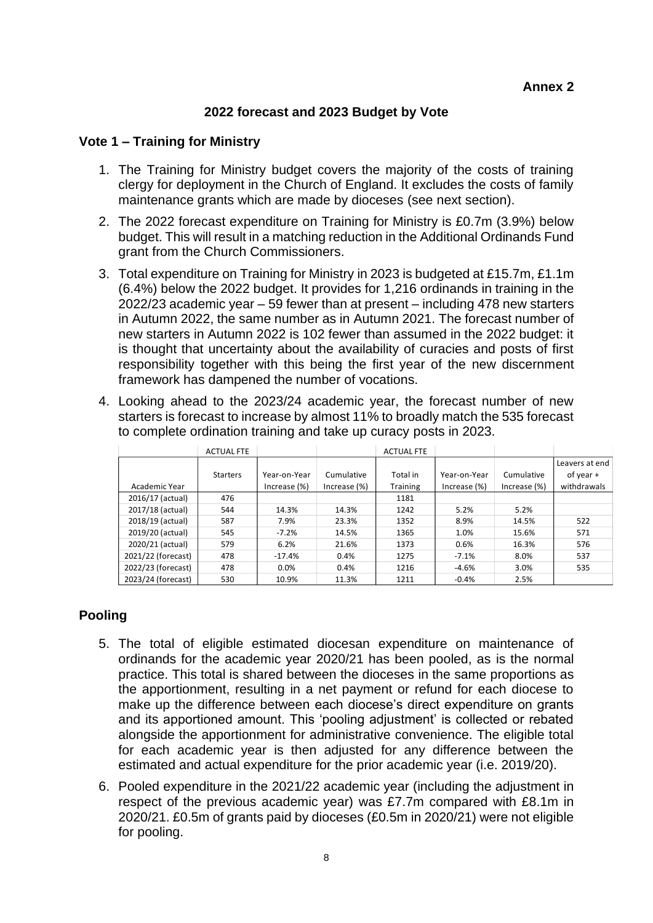## **2022 forecast and 2023 Budget by Vote**

### **Vote 1 – Training for Ministry**

- 1. The Training for Ministry budget covers the majority of the costs of training clergy for deployment in the Church of England. It excludes the costs of family maintenance grants which are made by dioceses (see next section).
- 2. The 2022 forecast expenditure on Training for Ministry is £0.7m (3.9%) below budget. This will result in a matching reduction in the Additional Ordinands Fund grant from the Church Commissioners.
- 3. Total expenditure on Training for Ministry in 2023 is budgeted at £15.7m, £1.1m (6.4%) below the 2022 budget. It provides for 1,216 ordinands in training in the 2022/23 academic year – 59 fewer than at present – including 478 new starters in Autumn 2022, the same number as in Autumn 2021. The forecast number of new starters in Autumn 2022 is 102 fewer than assumed in the 2022 budget: it is thought that uncertainty about the availability of curacies and posts of first responsibility together with this being the first year of the new discernment framework has dampened the number of vocations.
- 4. Looking ahead to the 2023/24 academic year, the forecast number of new starters is forecast to increase by almost 11% to broadly match the 535 forecast to complete ordination training and take up curacy posts in 2023.

|                    | <b>ACTUAL FTE</b> |                 |              | <b>ACTUAL FTE</b> |                 |                 |                |
|--------------------|-------------------|-----------------|--------------|-------------------|-----------------|-----------------|----------------|
|                    |                   |                 |              |                   |                 |                 | Leavers at end |
|                    | <b>Starters</b>   | Year-on-Year    | Cumulative   | Total in          | Year-on-Year    | Cumulative      | of year $+$    |
| Academic Year      |                   | Increase $(\%)$ | Increase (%) | <b>Training</b>   | Increase $(\%)$ | Increase $(\%)$ | withdrawals    |
| 2016/17 (actual)   | 476               |                 |              | 1181              |                 |                 |                |
| 2017/18 (actual)   | 544               | 14.3%           | 14.3%        | 1242              | 5.2%            | 5.2%            |                |
| 2018/19 (actual)   | 587               | 7.9%            | 23.3%        | 1352              | 8.9%            | 14.5%           | 522            |
| 2019/20 (actual)   | 545               | $-7.2%$         | 14.5%        | 1365              | 1.0%            | 15.6%           | 571            |
| 2020/21 (actual)   | 579               | 6.2%            | 21.6%        | 1373              | 0.6%            | 16.3%           | 576            |
| 2021/22 (forecast) | 478               | $-17.4%$        | 0.4%         | 1275              | $-7.1%$         | 8.0%            | 537            |
| 2022/23 (forecast) | 478               | 0.0%            | 0.4%         | 1216              | $-4.6%$         | 3.0%            | 535            |
| 2023/24 (forecast) | 530               | 10.9%           | 11.3%        | 1211              | $-0.4%$         | 2.5%            |                |

## **Pooling**

- 5. The total of eligible estimated diocesan expenditure on maintenance of ordinands for the academic year 2020/21 has been pooled, as is the normal practice. This total is shared between the dioceses in the same proportions as the apportionment, resulting in a net payment or refund for each diocese to make up the difference between each diocese's direct expenditure on grants and its apportioned amount. This 'pooling adjustment' is collected or rebated alongside the apportionment for administrative convenience. The eligible total for each academic year is then adjusted for any difference between the estimated and actual expenditure for the prior academic year (i.e. 2019/20).
- 6. Pooled expenditure in the 2021/22 academic year (including the adjustment in respect of the previous academic year) was £7.7m compared with £8.1m in 2020/21. £0.5m of grants paid by dioceses (£0.5m in 2020/21) were not eligible for pooling.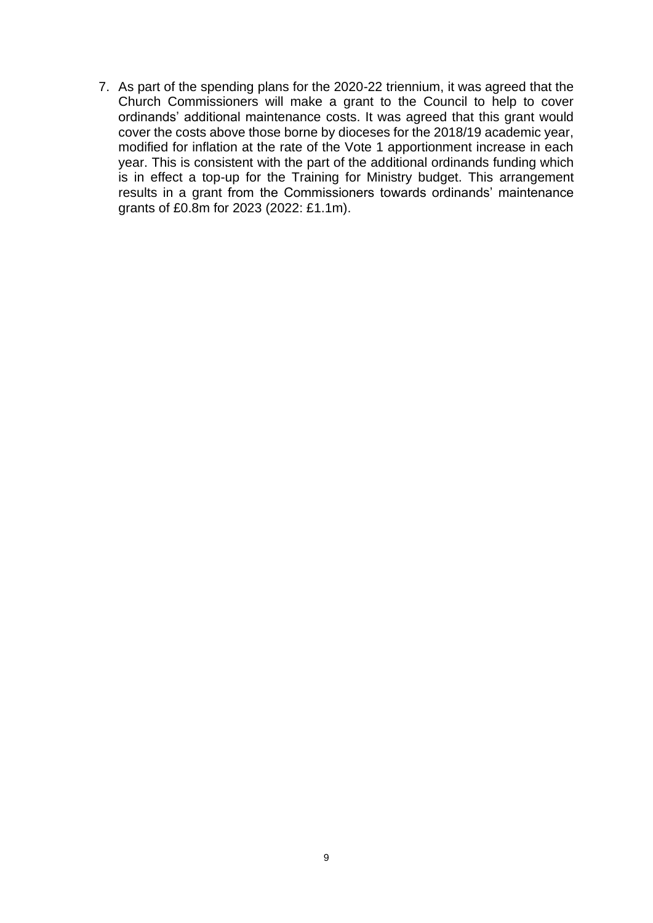7. As part of the spending plans for the 2020-22 triennium, it was agreed that the Church Commissioners will make a grant to the Council to help to cover ordinands' additional maintenance costs. It was agreed that this grant would cover the costs above those borne by dioceses for the 2018/19 academic year, modified for inflation at the rate of the Vote 1 apportionment increase in each year. This is consistent with the part of the additional ordinands funding which is in effect a top-up for the Training for Ministry budget. This arrangement results in a grant from the Commissioners towards ordinands' maintenance grants of £0.8m for 2023 (2022: £1.1m).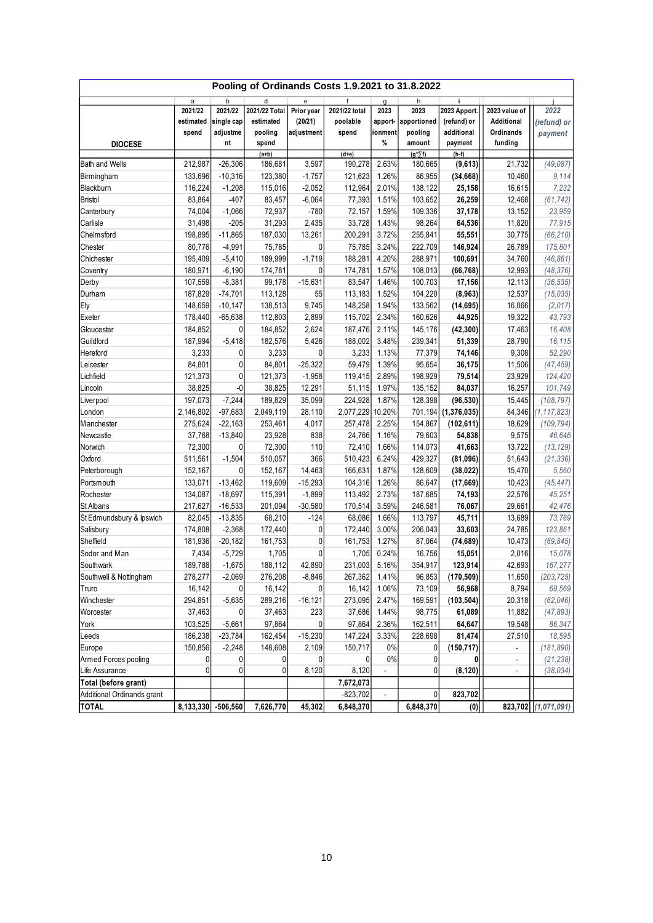|                            |           |                    |                  |            | Pooling of Ordinands Costs 1.9.2021 to 31.8.2022 |                |                              |                    |                |                     |
|----------------------------|-----------|--------------------|------------------|------------|--------------------------------------------------|----------------|------------------------------|--------------------|----------------|---------------------|
|                            | a         | b                  | d                | e          |                                                  | g              | h                            |                    |                |                     |
|                            | 2021/22   | 2021/22            | 2021/22 Total    | Prior year | 2021/22 total                                    | 2023           | 2023                         | 2023 Apport.       | 2023 value of  | 2022                |
|                            | estimated | single cap         | estimated        | (20/21)    | poolable                                         | apport-        | apportioned                  | (refund) or        | Additional     | (refund) or         |
|                            | spend     | adjustme           | pooling          | adjustment | spend                                            | ionment        | pooling                      | additional         | Ordinands      | payment             |
| <b>DIOCESE</b>             |           | nt                 | spend<br>$(a+b)$ |            | $(d+e)$                                          | %              | amount<br>$(g*\overline{f})$ | payment<br>$(h-f)$ | funding        |                     |
| <b>Bath and Wells</b>      | 212,987   | $-26,306$          | 186,681          | 3,597      | 190,278                                          | 2.63%          | 180,665                      | (9,613)            | 21,732         | (49,087)            |
| Birmingham                 | 133,696   | $-10,316$          | 123,380          | $-1,757$   | 121,623                                          | 1.26%          | 86,955                       | (34, 668)          | 10,460         | 9,114               |
| Blackburn                  | 116,224   | $-1,208$           | 115,016          | $-2,052$   | 112,964                                          | 2.01%          | 138,122                      | 25,158             | 16,615         | 7,232               |
| Bristol                    | 83,864    | $-407$             | 83,457           | $-6,064$   | 77,393                                           | 1.51%          | 103,652                      | 26,259             | 12,468         | (61, 742)           |
| Canterbury                 | 74,004    | $-1,066$           | 72,937           | $-780$     | 72,157                                           | 1.59%          | 109,336                      | 37,178             | 13,152         | 23,959              |
| Carlisle                   | 31,498    | $-205$             | 31,293           | 2,435      | 33,728                                           | 1.43%          | 98,264                       | 64,536             | 11,820         | 77,915              |
| Chelm sford                | 198,895   | $-11,865$          | 187,030          | 13,261     | 200,291                                          | 3.72%          | 255,841                      | 55,551             | 30,775         | (66, 210)           |
| Chester                    | 80,776    | $-4,991$           | 75,785           | 0          | 75,785                                           | 3.24%          | 222,709                      | 146,924            | 26,789         | 175,801             |
| Chichester                 | 195,409   | $-5,410$           | 189,999          | $-1,719$   | 188,281                                          | 4.20%          | 288,971                      | 100,691            | 34,760         | (46, 861)           |
| Coventry                   | 180,971   | $-6,190$           | 174,781          | 0          | 174,781                                          | 1.57%          | 108,013                      | (66, 768)          | 12,993         | (48, 376)           |
| Derby                      | 107,559   | $-8,381$           | 99,178           | $-15,631$  | 83,547                                           | 1.46%          | 100,703                      | 17,156             | 12,113         | (36, 535)           |
| Durham                     | 187,829   | $-74,701$          | 113,128          | 55         | 113,183                                          | 1.52%          | 104,220                      | (8,963)            | 12,537         | (15, 035)           |
| Ely                        | 148,659   | $-10,147$          | 138,513          | 9,745      | 148,258                                          | 1.94%          | 133,562                      | (14, 695)          | 16,066         | (2,017)             |
| Exeter                     | 178,440   | $-65,638$          | 112,803          | 2,899      | 115,702                                          | 2.34%          | 160,626                      | 44,925             | 19,322         | 43,793              |
| Gloucester                 | 184,852   | 0                  | 184,852          | 2,624      | 187,476                                          | 2.11%          | 145,176                      | (42, 300)          | 17,463         | 16,408              |
| Guildford                  | 187,994   | $-5,418$           | 182,576          | 5,426      | 188,002                                          | 3.48%          | 239,341                      | 51,339             | 28,790         | 16,115              |
| Hereford                   | 3,233     | 0                  | 3,233            | 0          | 3,233                                            | 1.13%          | 77,379                       | 74,146             | 9,308          | 52,290              |
| Leicester                  | 84,801    | 0                  | 84,801           | $-25,322$  | 59,479                                           | 1.39%          | 95,654                       | 36,175             | 11,506         | (47, 459)           |
| Lichfield                  | 121,373   | 0                  | 121,373          | $-1,958$   | 119,415                                          | 2.89%          | 198,929                      | 79,514             | 23,929         | 124,420             |
| Lincoln                    | 38,825    | $\hbox{-}0$        | 38,825           | 12,291     | 51,115                                           | 1.97%          | 135,152                      | 84,037             | 16,257         | 101,749             |
| Liverpool                  | 197,073   | $-7,244$           | 189,829          | 35,099     | 224,928                                          | 1.87%          | 128,398                      | (96, 530)          | 15,445         | (108, 797)          |
| London                     | 2,146,802 | $-97,683$          | 2,049,119        | 28,110     | 2,077,229                                        | 10.20%         | 701,194                      | (1, 376, 035)      | 84,346         | (1, 117, 823)       |
| Manchester                 | 275,624   | $-22,163$          | 253,461          | 4,017      | 257,478                                          | 2.25%          | 154,867                      | (102, 611)         | 18,629         | (109, 794)          |
| Newcastle                  | 37,768    | $-13,840$          | 23,928           | 838        | 24,766                                           | 1.16%          | 79,603                       | 54,838             | 9,575          | 46,646              |
| Norwich                    | 72,300    | 0                  | 72,300           | 110        | 72,410                                           | 1.66%          | 114,073                      | 41,663             | 13,722         | (13, 129)           |
| Oxford                     | 511,561   | $-1,504$           | 510,057          | 366        | 510,423                                          | 6.24%          | 429,327                      | (81,096)           | 51,643         | (21, 336)           |
| Peterborough               | 152,167   | 0                  | 152,167          | 14,463     | 166,631                                          | 1.87%          | 128,609                      | (38, 022)          | 15,470         | 5,560               |
| Portsmouth                 | 133,071   | $-13,462$          | 119,609          | $-15,293$  | 104,316                                          | 1.26%          | 86,647                       | (17, 669)          | 10,423         | (45, 447)           |
| Rochester                  | 134,087   | $-18,697$          | 115,391          | $-1,899$   | 113,492                                          | 2.73%          | 187,685                      | 74,193             | 22,576         | 45,251              |
| St Albans                  | 217,627   | $-16,533$          | 201,094          | $-30,580$  | 170,514                                          | 3.59%          | 246,581                      | 76,067             | 29,661         | 42,476              |
| St Edmundsbury & Ipswich   | 82,045    | $-13,835$          | 68,210           | $-124$     | 68,086                                           | 1.66%          | 113,797                      | 45,711             | 13,689         | 73,769              |
| Salisbury                  | 174,808   | $-2,368$           | 172,440          | 0          | 172,440                                          | 3.00%          | 206,043                      | 33,603             | 24,785         | 123,861             |
| Sheffield                  | 181,936   | $-20,182$          | 161,753          | 0          | 161,753                                          | 1.27%          | 87,064                       | (74, 689)          | 10,473         | (69, 845)           |
| Sodor and Man              | 7,434     | $-5,729$           | 1,705            | 0          | 1,705                                            | 0.24%          | 16,756                       | 15,051             | 2,016          | 15,078              |
| Southwark                  | 189,788   | $-1,675$           | 188,112          | 42,890     | 231,003                                          | 5.16%          | 354,917                      | 123,914            | 42,693         | 167,277             |
| Southwell & Nottingham     | 278,277   | $-2,069$           | 276,208          | $-8,846$   | 267,362                                          | 1.41%          | 96,853                       | (170, 509)         | 11,650         | (203, 725)          |
| Truro                      | 16,142    | 0                  | 16,142           | 0          | 16,142                                           | 1.06%          | 73,109                       | 56,968             | 8,794          | 69,569              |
| Winchester                 | 294,851   | $-5,635$           | 289,216          | $-16,121$  | 273,095                                          | 2.47%          | 169,591                      | (103, 504)         | 20,318         | (62, 046)           |
| Worcester                  | 37,463    | 0                  | 37,463           | 223        | 37,686                                           | 1.44%          | 98,775                       | 61,089             | 11,882         | (47, 893)           |
| York                       | 103,525   | $-5,661$           | 97,864           | 0          | 97,864                                           | 2.36%          | 162,511                      | 64,647             | 19,548         | 86,347              |
| Leeds                      | 186,238   | $-23,784$          | 162,454          | $-15,230$  | 147,224                                          | 3.33%          | 228,698                      | 81,474             | 27,510         | 18,595              |
| Europe                     | 150,856   | $-2,248$           | 148,608          | 2,109      | 150,717                                          | 0%             | 0                            | (150, 717)         | ÷.             | (181, 890)          |
| Armed Forces pooling       | 0         | 0                  | 0                | 0          | 0                                                | $0\%$          | 0                            | 0                  | $\blacksquare$ | (21, 238)           |
| Life Assurance             | 0         | 0                  | 0                | 8,120      | 8,120                                            | $\blacksquare$ | 0                            | (8, 120)           | $\blacksquare$ | (38, 034)           |
| Total (before grant)       |           |                    |                  |            | 7,672,073                                        |                |                              |                    |                |                     |
| Additional Ordinands grant |           |                    |                  |            | $-823,702$                                       |                | $\overline{0}$               | 823,702            |                |                     |
| <b>TOTAL</b>               |           | 8,133,330 -506,560 | 7,626,770        | 45,302     | 6,848,370                                        |                | 6,848,370                    | (0)                |                | 823,702 (1,071,091) |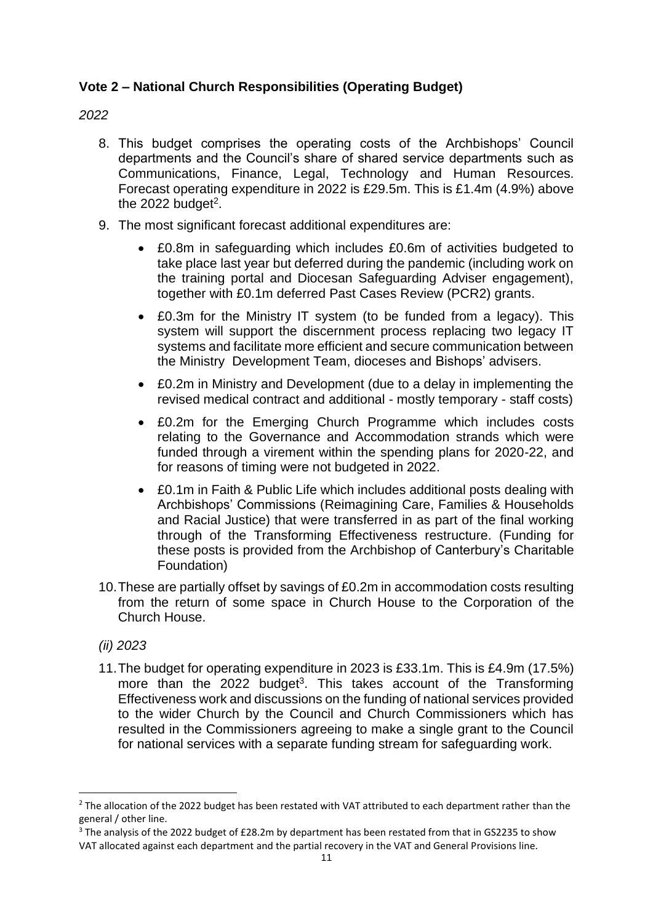# **Vote 2 – National Church Responsibilities (Operating Budget)**

## *2022*

- 8. This budget comprises the operating costs of the Archbishops' Council departments and the Council's share of shared service departments such as Communications, Finance, Legal, Technology and Human Resources. Forecast operating expenditure in 2022 is £29.5m. This is £1.4m (4.9%) above the  $2022$  budget<sup>2</sup>.
- 9. The most significant forecast additional expenditures are:
	- £0.8m in safeguarding which includes £0.6m of activities budgeted to take place last year but deferred during the pandemic (including work on the training portal and Diocesan Safeguarding Adviser engagement), together with £0.1m deferred Past Cases Review (PCR2) grants.
	- £0.3m for the Ministry IT system (to be funded from a legacy). This system will support the discernment process replacing two legacy IT systems and facilitate more efficient and secure communication between the Ministry Development Team, dioceses and Bishops' advisers.
	- £0.2m in Ministry and Development (due to a delay in implementing the revised medical contract and additional - mostly temporary - staff costs)
	- £0.2m for the Emerging Church Programme which includes costs relating to the Governance and Accommodation strands which were funded through a virement within the spending plans for 2020-22, and for reasons of timing were not budgeted in 2022.
	- £0.1m in Faith & Public Life which includes additional posts dealing with Archbishops' Commissions (Reimagining Care, Families & Households and Racial Justice) that were transferred in as part of the final working through of the Transforming Effectiveness restructure. (Funding for these posts is provided from the Archbishop of Canterbury's Charitable Foundation)
- 10.These are partially offset by savings of £0.2m in accommodation costs resulting from the return of some space in Church House to the Corporation of the Church House.
- *(ii) 2023*
- 11.The budget for operating expenditure in 2023 is £33.1m. This is £4.9m (17.5%) more than the  $2022$  budget<sup>3</sup>. This takes account of the Transforming Effectiveness work and discussions on the funding of national services provided to the wider Church by the Council and Church Commissioners which has resulted in the Commissioners agreeing to make a single grant to the Council for national services with a separate funding stream for safeguarding work.

<sup>&</sup>lt;sup>2</sup> The allocation of the 2022 budget has been restated with VAT attributed to each department rather than the general / other line.

<sup>&</sup>lt;sup>3</sup> The analysis of the 2022 budget of £28.2m by department has been restated from that in GS2235 to show VAT allocated against each department and the partial recovery in the VAT and General Provisions line.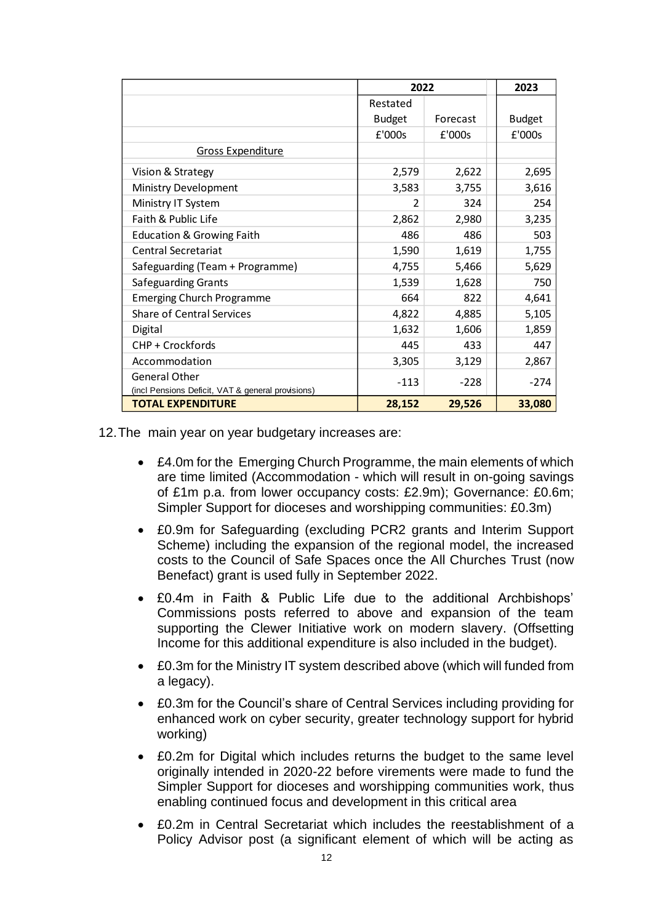|                                                                    | 2022          |          | 2023          |
|--------------------------------------------------------------------|---------------|----------|---------------|
|                                                                    | Restated      |          |               |
|                                                                    | <b>Budget</b> | Forecast | <b>Budget</b> |
|                                                                    | £'000s        | £'000s   | £'000s        |
| <b>Gross Expenditure</b>                                           |               |          |               |
| Vision & Strategy                                                  | 2,579         | 2,622    | 2,695         |
| Ministry Development                                               | 3,583         | 3,755    | 3,616         |
| Ministry IT System                                                 | 2             | 324      | 254           |
| Faith & Public Life                                                | 2,862         | 2,980    | 3,235         |
| <b>Education &amp; Growing Faith</b>                               | 486           | 486      | 503           |
| <b>Central Secretariat</b>                                         | 1,590         | 1,619    | 1,755         |
| Safeguarding (Team + Programme)                                    | 4,755         | 5,466    | 5,629         |
| Safeguarding Grants                                                | 1,539         | 1,628    | 750           |
| <b>Emerging Church Programme</b>                                   | 664           | 822      | 4,641         |
| <b>Share of Central Services</b>                                   | 4,822         | 4,885    | 5,105         |
| Digital                                                            | 1,632         | 1,606    | 1,859         |
| CHP + Crockfords                                                   | 445           | 433      | 447           |
| Accommodation                                                      | 3,305         | 3,129    | 2,867         |
| General Other<br>(incl Pensions Deficit, VAT & general provisions) | $-113$        | $-228$   | $-274$        |
| <b>TOTAL EXPENDITURE</b>                                           | 28,152        | 29,526   | 33,080        |

12.The main year on year budgetary increases are:

- £4.0m for the Emerging Church Programme, the main elements of which are time limited (Accommodation - which will result in on-going savings of £1m p.a. from lower occupancy costs: £2.9m); Governance: £0.6m; Simpler Support for dioceses and worshipping communities: £0.3m)
- £0.9m for Safeguarding (excluding PCR2 grants and Interim Support Scheme) including the expansion of the regional model, the increased costs to the Council of Safe Spaces once the All Churches Trust (now Benefact) grant is used fully in September 2022.
- £0.4m in Faith & Public Life due to the additional Archbishops' Commissions posts referred to above and expansion of the team supporting the Clewer Initiative work on modern slavery. (Offsetting Income for this additional expenditure is also included in the budget).
- £0.3m for the Ministry IT system described above (which will funded from a legacy).
- £0.3m for the Council's share of Central Services including providing for enhanced work on cyber security, greater technology support for hybrid working)
- £0.2m for Digital which includes returns the budget to the same level originally intended in 2020-22 before virements were made to fund the Simpler Support for dioceses and worshipping communities work, thus enabling continued focus and development in this critical area
- £0.2m in Central Secretariat which includes the reestablishment of a Policy Advisor post (a significant element of which will be acting as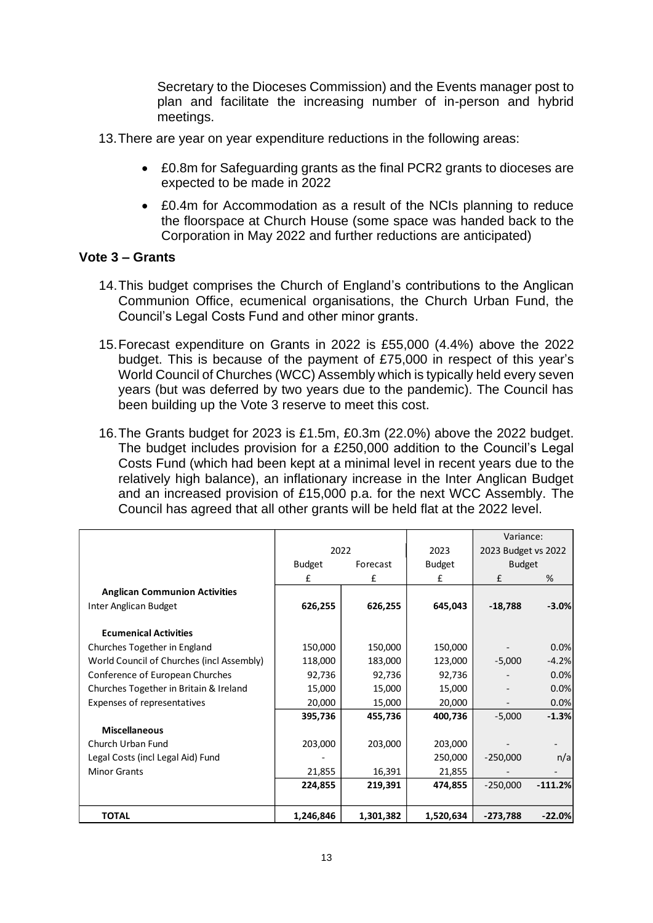Secretary to the Dioceses Commission) and the Events manager post to plan and facilitate the increasing number of in-person and hybrid meetings.

- 13.There are year on year expenditure reductions in the following areas:
	- £0.8m for Safeguarding grants as the final PCR2 grants to dioceses are expected to be made in 2022
	- £0.4m for Accommodation as a result of the NCIs planning to reduce the floorspace at Church House (some space was handed back to the Corporation in May 2022 and further reductions are anticipated)

### **Vote 3 – Grants**

- 14.This budget comprises the Church of England's contributions to the Anglican Communion Office, ecumenical organisations, the Church Urban Fund, the Council's Legal Costs Fund and other minor grants.
- 15.Forecast expenditure on Grants in 2022 is £55,000 (4.4%) above the 2022 budget. This is because of the payment of £75,000 in respect of this year's World Council of Churches (WCC) Assembly which is typically held every seven years (but was deferred by two years due to the pandemic). The Council has been building up the Vote 3 reserve to meet this cost.
- 16.The Grants budget for 2023 is £1.5m, £0.3m (22.0%) above the 2022 budget. The budget includes provision for a £250,000 addition to the Council's Legal Costs Fund (which had been kept at a minimal level in recent years due to the relatively high balance), an inflationary increase in the Inter Anglican Budget and an increased provision of £15,000 p.a. for the next WCC Assembly. The Council has agreed that all other grants will be held flat at the 2022 level.

|                                           |               |           |               | Variance:           |           |  |
|-------------------------------------------|---------------|-----------|---------------|---------------------|-----------|--|
|                                           | 2022          |           | 2023          | 2023 Budget vs 2022 |           |  |
|                                           | <b>Budget</b> | Forecast  | <b>Budget</b> | <b>Budget</b>       |           |  |
|                                           | £<br>£<br>£   |           |               | £                   | %         |  |
| <b>Anglican Communion Activities</b>      |               |           |               |                     |           |  |
| Inter Anglican Budget                     | 626,255       | 626,255   | 645,043       | $-18,788$           | $-3.0%$   |  |
| <b>Ecumenical Activities</b>              |               |           |               |                     |           |  |
| Churches Together in England              | 150,000       | 150,000   | 150,000       |                     | 0.0%      |  |
| World Council of Churches (incl Assembly) | 118,000       | 183,000   | 123,000       | $-5,000$            | $-4.2%$   |  |
| Conference of European Churches           | 92,736        | 92,736    | 92,736        |                     | 0.0%      |  |
| Churches Together in Britain & Ireland    | 15,000        | 15,000    | 15,000        |                     | 0.0%      |  |
| Expenses of representatives               | 20,000        | 15,000    | 20,000        |                     | 0.0%      |  |
|                                           | 395,736       | 455,736   | 400,736       | $-5,000$            | $-1.3%$   |  |
| <b>Miscellaneous</b>                      |               |           |               |                     |           |  |
| Church Urban Fund                         | 203,000       | 203,000   | 203,000       |                     |           |  |
| Legal Costs (incl Legal Aid) Fund         |               |           | 250,000       | $-250,000$          | n/a       |  |
| <b>Minor Grants</b>                       | 21,855        | 16,391    | 21,855        |                     |           |  |
|                                           | 224,855       | 219,391   | 474,855       | $-250,000$          | $-111.2%$ |  |
| <b>TOTAL</b>                              | 1,246,846     | 1,301,382 | 1,520,634     | $-273,788$          | $-22.0%$  |  |